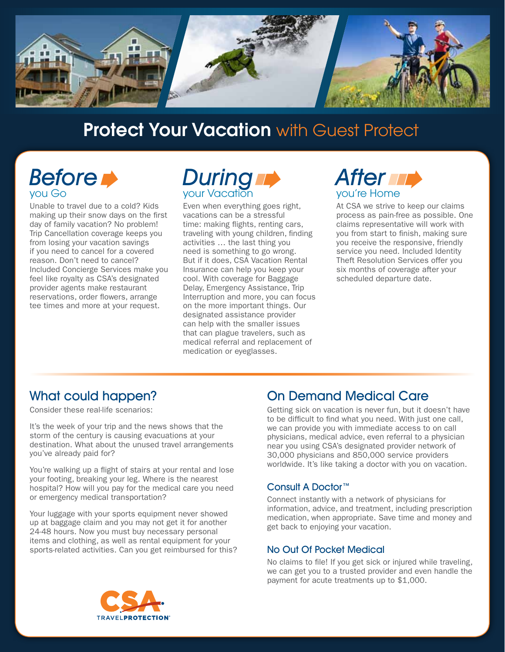

# **Protect Your Vacation with Guest Protect**

# Before **D** you Go

Unable to travel due to a cold? Kids making up their snow days on the first day of family vacation? No problem! Trip Cancellation coverage keeps you from losing your vacation savings if you need to cancel for a covered reason. Don't need to cancel? Included Concierge Services make you feel like royalty as CSA's designated provider agents make restaurant reservations, order flowers, arrange tee times and more at your request.

# During your Vacation

Even when everything goes right, vacations can be a stressful time: making flights, renting cars, traveling with young children, finding activities … the last thing you need is something to go wrong. But if it does, CSA Vacation Rental Insurance can help you keep your cool. With coverage for Baggage Delay, Emergency Assistance, Trip Interruption and more, you can focus on the more important things. Our designated assistance provider can help with the smaller issues that can plague travelers, such as medical referral and replacement of medication or eyeglasses.

# **After multiples** you're Home

At CSA we strive to keep our claims process as pain-free as possible. One claims representative will work with you from start to finish, making sure you receive the responsive, friendly service you need. Included Identity Theft Resolution Services offer you six months of coverage after your scheduled departure date.

## What could happen?

Consider these real-life scenarios:

It's the week of your trip and the news shows that the storm of the century is causing evacuations at your destination. What about the unused travel arrangements you've already paid for?

You're walking up a flight of stairs at your rental and lose your footing, breaking your leg. Where is the nearest hospital? How will you pay for the medical care you need or emergency medical transportation?

Your luggage with your sports equipment never showed up at baggage claim and you may not get it for another 24-48 hours. Now you must buy necessary personal items and clothing, as well as rental equipment for your sports-related activities. Can you get reimbursed for this?

### On Demand Medical Care

Getting sick on vacation is never fun, but it doesn't have to be difficult to find what you need. With just one call, we can provide you with immediate access to on call physicians, medical advice, even referral to a physician near you using CSA's designated provider network of 30,000 physicians and 850,000 service providers worldwide. It's like taking a doctor with you on vacation.

### Consult A Doctor™

Connect instantly with a network of physicians for information, advice, and treatment, including prescription medication, when appropriate. Save time and money and get back to enjoying your vacation.

### No Out Of Pocket Medical

No claims to file! If you get sick or injured while traveling, we can get you to a trusted provider and even handle the payment for acute treatments up to \$1,000.